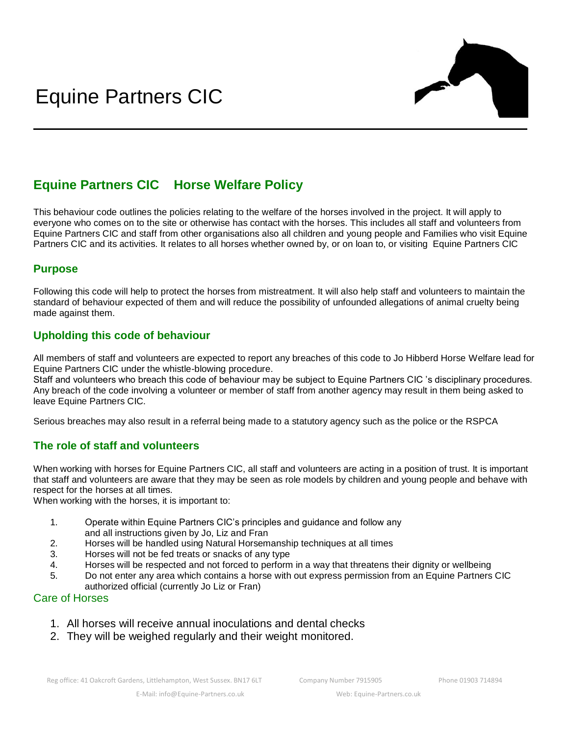

# **Equine Partners CIC Horse Welfare Policy**

This behaviour code outlines the policies relating to the welfare of the horses involved in the project. It will apply to everyone who comes on to the site or otherwise has contact with the horses. This includes all staff and volunteers from Equine Partners CIC and staff from other organisations also all children and young people and Families who visit Equine Partners CIC and its activities. It relates to all horses whether owned by, or on loan to, or visiting Equine Partners CIC

### **Purpose**

Following this code will help to protect the horses from mistreatment. It will also help staff and volunteers to maintain the standard of behaviour expected of them and will reduce the possibility of unfounded allegations of animal cruelty being made against them.

#### **Upholding this code of behaviour**

All members of staff and volunteers are expected to report any breaches of this code to Jo Hibberd Horse Welfare lead for Equine Partners CIC under the whistle-blowing procedure.

Staff and volunteers who breach this code of behaviour may be subject to Equine Partners CIC 's disciplinary procedures. Any breach of the code involving a volunteer or member of staff from another agency may result in them being asked to leave Equine Partners CIC.

Serious breaches may also result in a referral being made to a statutory agency such as the police or the RSPCA

#### **The role of staff and volunteers**

When working with horses for Equine Partners CIC, all staff and volunteers are acting in a position of trust. It is important that staff and volunteers are aware that they may be seen as role models by children and young people and behave with respect for the horses at all times.

When working with the horses, it is important to:

- 1. Operate within Equine Partners CIC's principles and guidance and follow any and all instructions given by Jo, Liz and Fran
- 2. Horses will be handled using Natural Horsemanship techniques at all times
- 3. Horses will not be fed treats or snacks of any type
- 4. Horses will be respected and not forced to perform in a way that threatens their dignity or wellbeing
- 5. Do not enter any area which contains a horse with out express permission from an Equine Partners CIC authorized official (currently Jo Liz or Fran)

#### Care of Horses

- 1. All horses will receive annual inoculations and dental checks
- 2. They will be weighed regularly and their weight monitored.